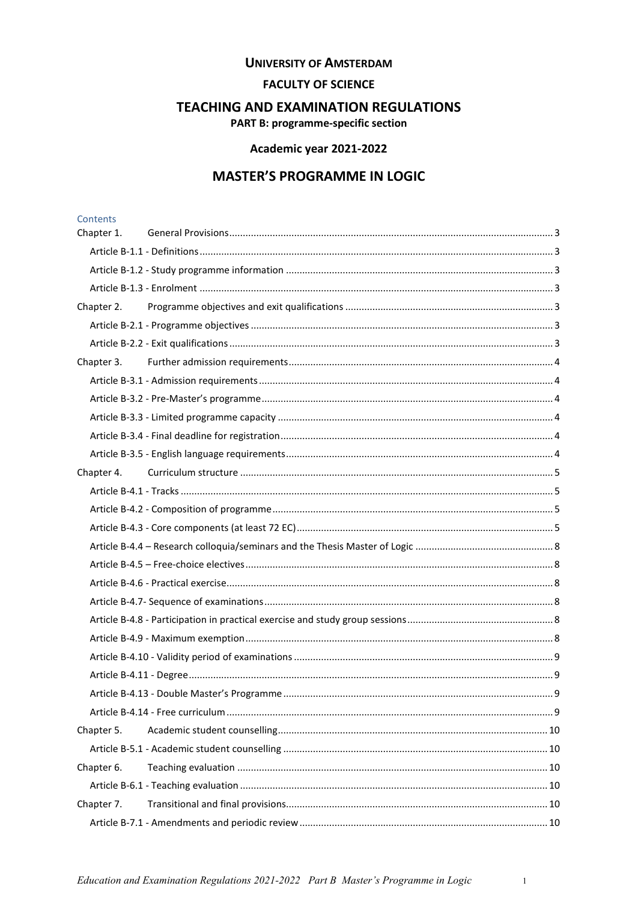#### **UNIVERSITY OF AMSTERDAM**

### **FACULTY OF SCIENCE**

# **TEACHING AND EXAMINATION REGULATIONS**

**PART B: programme-specific section** 

# Academic year 2021-2022

# **MASTER'S PROGRAMME IN LOGIC**

# Contents

| Chapter 1. |  |
|------------|--|
|            |  |
|            |  |
|            |  |
| Chapter 2. |  |
|            |  |
|            |  |
|            |  |
|            |  |
|            |  |
|            |  |
|            |  |
|            |  |
| Chapter 4. |  |
|            |  |
|            |  |
|            |  |
|            |  |
|            |  |
|            |  |
|            |  |
|            |  |
|            |  |
|            |  |
|            |  |
|            |  |
|            |  |
| Chapter 5. |  |
|            |  |
| Chapter 6. |  |
|            |  |
| Chapter 7. |  |
|            |  |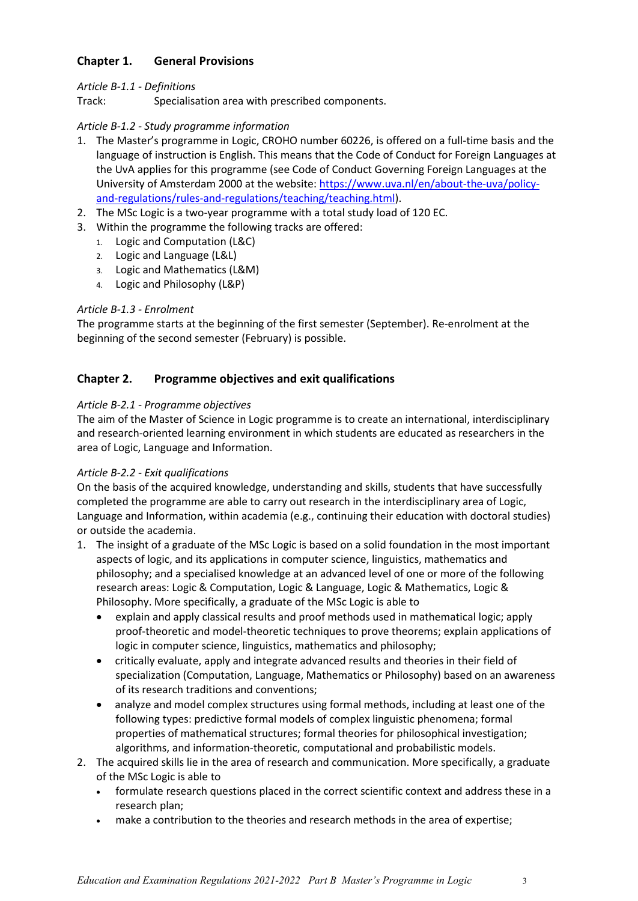# <span id="page-2-0"></span>**Chapter 1. General Provisions**

# <span id="page-2-1"></span>*Article B-1.1 - Definitions*

Track: Specialisation area with prescribed components.

# <span id="page-2-2"></span>*Article B-1.2 - Study programme information*

- 1. The Master's programme in Logic, CROHO number 60226, is offered on a full-time basis and the language of instruction is English. This means that the Code of Conduct for Foreign Languages at the UvA applies for this programme (see Code of Conduct Governing Foreign Languages at the University of Amsterdam 2000 at the website: [https://www.uva.nl/en/about-the-uva/policy](https://www.uva.nl/en/about-the-uva/policy-and-regulations/rules-and-regulations/teaching/teaching.html)[and-regulations/rules-and-regulations/teaching/teaching.html\)](https://www.uva.nl/en/about-the-uva/policy-and-regulations/rules-and-regulations/teaching/teaching.html).
- 2. The MSc Logic is a two-year programme with a total study load of 120 EC.
- 3. Within the programme the following tracks are offered:
	- 1. Logic and Computation (L&C)
	- 2. Logic and Language (L&L)
	- 3. Logic and Mathematics (L&M)
	- 4. Logic and Philosophy (L&P)

#### <span id="page-2-3"></span>*Article B-1.3 - Enrolment*

<span id="page-2-4"></span>The programme starts at the beginning of the first semester (September). Re-enrolment at the beginning of the second semester (February) is possible.

# **Chapter 2. Programme objectives and exit qualifications**

#### <span id="page-2-5"></span>*Article B-2.1 - Programme objectives*

The aim of the Master of Science in Logic programme is to create an international, interdisciplinary and research-oriented learning environment in which students are educated as researchers in the area of Logic, Language and Information.

#### <span id="page-2-6"></span>*Article B-2.2 - Exit qualifications*

On the basis of the acquired knowledge, understanding and skills, students that have successfully completed the programme are able to carry out research in the interdisciplinary area of Logic, Language and Information, within academia (e.g., continuing their education with doctoral studies) or outside the academia.

- 1. The insight of a graduate of the MSc Logic is based on a solid foundation in the most important aspects of logic, and its applications in computer science, linguistics, mathematics and philosophy; and a specialised knowledge at an advanced level of one or more of the following research areas: Logic & Computation, Logic & Language, Logic & Mathematics, Logic & Philosophy. More specifically, a graduate of the MSc Logic is able to
	- explain and apply classical results and proof methods used in mathematical logic; apply proof-theoretic and model-theoretic techniques to prove theorems; explain applications of logic in computer science, linguistics, mathematics and philosophy;
	- critically evaluate, apply and integrate advanced results and theories in their field of specialization (Computation, Language, Mathematics or Philosophy) based on an awareness of its research traditions and conventions;
	- analyze and model complex structures using formal methods, including at least one of the following types: predictive formal models of complex linguistic phenomena; formal properties of mathematical structures; formal theories for philosophical investigation; algorithms, and information-theoretic, computational and probabilistic models.
- 2. The acquired skills lie in the area of research and communication. More specifically, a graduate of the MSc Logic is able to
	- formulate research questions placed in the correct scientific context and address these in a research plan;
	- make a contribution to the theories and research methods in the area of expertise;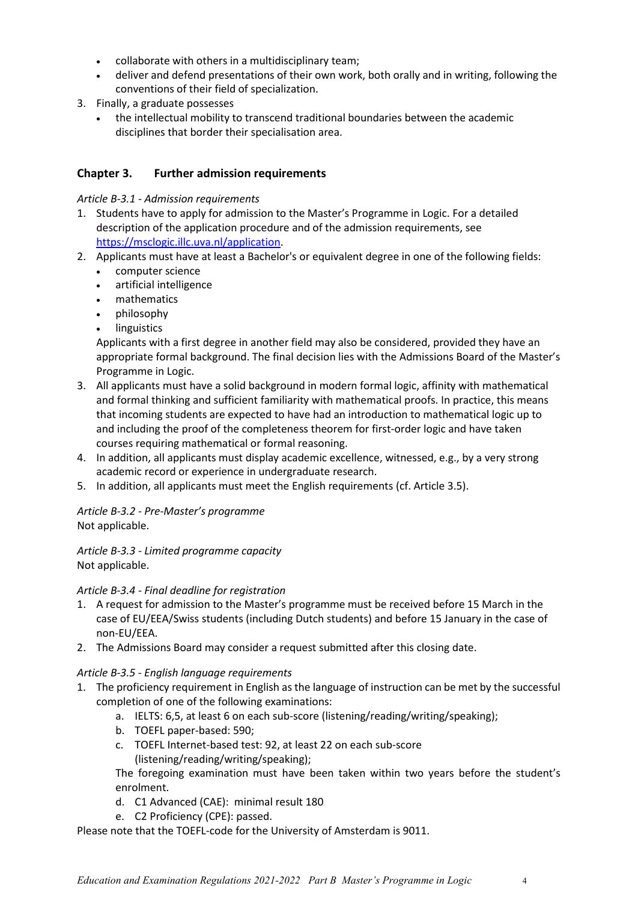- collaborate with others in a multidisciplinary team;
- deliver and defend presentations of their own work, both orally and in writing, following the conventions of their field of specialization.
- 3. Finally, a graduate possesses
	- the intellectual mobility to transcend traditional boundaries between the academic disciplines that border their specialisation area.

# <span id="page-3-0"></span>**Chapter 3. Further admission requirements**

# <span id="page-3-1"></span>*Article B-3.1 - Admission requirements*

- 1. Students have to apply for admission to the Master's Programme in Logic. For a detailed description of the application procedure and of the admission requirements, see https://msclogic.illc.uva.nl/application.
- 2. Applicants must have at least a Bachelor's or equivalent degree in one of the following fields:
	- computer science
	- artificial intelligence
	- mathematics
	- philosophy
	- **linguistics**

Applicants with a first degree in another field may also be considered, provided they have an appropriate formal background. The final decision lies with the Admissions Board of the Master's Programme in Logic.

- 3. All applicants must have a solid background in modern formal logic, affinity with mathematical and formal thinking and sufficient familiarity with mathematical proofs. In practice, this means that incoming students are expected to have had an introduction to mathematical logic up to and including the proof of the completeness theorem for first-order logic and have taken courses requiring mathematical or formal reasoning.
- 4. In addition, all applicants must display academic excellence, witnessed, e.g., by a very strong academic record or experience in undergraduate research.
- 5. In addition, all applicants must meet the English requirements (cf. Article 3.5).

# <span id="page-3-2"></span>*Article B-3.2 - Pre-Master's programme* Not applicable.

<span id="page-3-3"></span>*Article B-3.3 - Limited programme capacity* Not applicable.

# <span id="page-3-4"></span>*Article B-3.4 - Final deadline for registration*

- 1. A request for admission to the Master's programme must be received before 15 March in the case of EU/EEA/Swiss students (including Dutch students) and before 15 January in the case of non-EU/EEA.
- 2. The Admissions Board may consider a request submitted after this closing date.

# <span id="page-3-5"></span>*Article B-3.5 - English language requirements*

- 1. The proficiency requirement in English as the language of instruction can be met by the successful completion of one of the following examinations:
	- a. IELTS: 6,5, at least 6 on each sub-score (listening/reading/writing/speaking);
	- b. TOEFL paper-based: 590;
	- c. TOEFL Internet-based test: 92, at least 22 on each sub-score (listening/reading/writing/speaking);

The foregoing examination must have been taken within two years before the student's enrolment.

- d. C1 Advanced (CAE): minimal result 180
- e. C2 Proficiency (CPE): passed.

Please note that the TOEFL-code for the University of Amsterdam is 9011.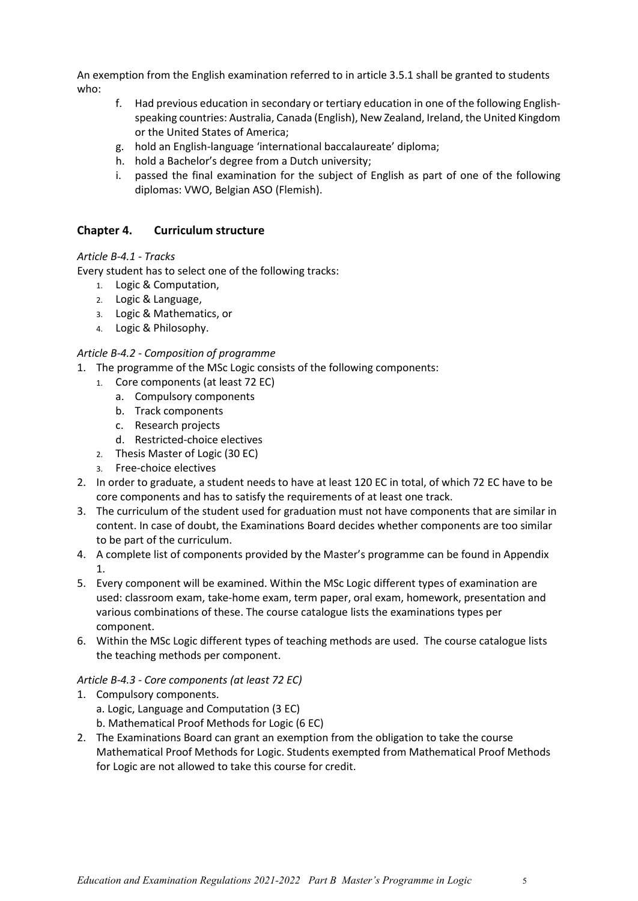An exemption from the English examination referred to in article 3.5.1 shall be granted to students who:

- f. Had previous education in secondary or tertiary education in one of the following Englishspeaking countries: Australia, Canada (English), New Zealand, Ireland, the United Kingdom or the United States of America;
- g. hold an English-language 'international baccalaureate' diploma;
- h. hold a Bachelor's degree from a Dutch university;
- i. passed the final examination for the subject of English as part of one of the following diplomas: VWO, Belgian ASO (Flemish).

# <span id="page-4-0"></span>**Chapter 4. Curriculum structure**

#### <span id="page-4-1"></span>*Article B-4.1 - Tracks*

Every student has to select one of the following tracks:

- 1. Logic & Computation,
- 2. Logic & Language,
- 3. Logic & Mathematics, or
- 4. Logic & Philosophy.

#### <span id="page-4-2"></span>*Article B-4.2 - Composition of programme*

- 1. The programme of the MSc Logic consists of the following components:
	- 1. Core components (at least 72 EC)
		- a. Compulsory components
		- b. Track components
		- c. Research projects
		- d. Restricted-choice electives
	- 2. Thesis Master of Logic (30 EC)
	- 3. Free-choice electives
- 2. In order to graduate, a student needs to have at least 120 EC in total, of which 72 EC have to be core components and has to satisfy the requirements of at least one track.
- 3. The curriculum of the student used for graduation must not have components that are similar in content. In case of doubt, the Examinations Board decides whether components are too similar to be part of the curriculum.
- 4. A complete list of components provided by the Master's programme can be found in Appendix 1.
- 5. Every component will be examined. Within the MSc Logic different types of examination are used: classroom exam, take-home exam, term paper, oral exam, homework, presentation and various combinations of these. The course catalogue lists the examinations types per component.
- 6. Within the MSc Logic different types of teaching methods are used. The course catalogue lists the teaching methods per component.

#### <span id="page-4-3"></span>*Article B-4.3 - Core components (at least 72 EC)*

- 1. Compulsory components.
	- a. Logic, Language and Computation (3 EC)
	- b. Mathematical Proof Methods for Logic (6 EC)
- 2. The Examinations Board can grant an exemption from the obligation to take the course Mathematical Proof Methods for Logic. Students exempted from Mathematical Proof Methods for Logic are not allowed to take this course for credit.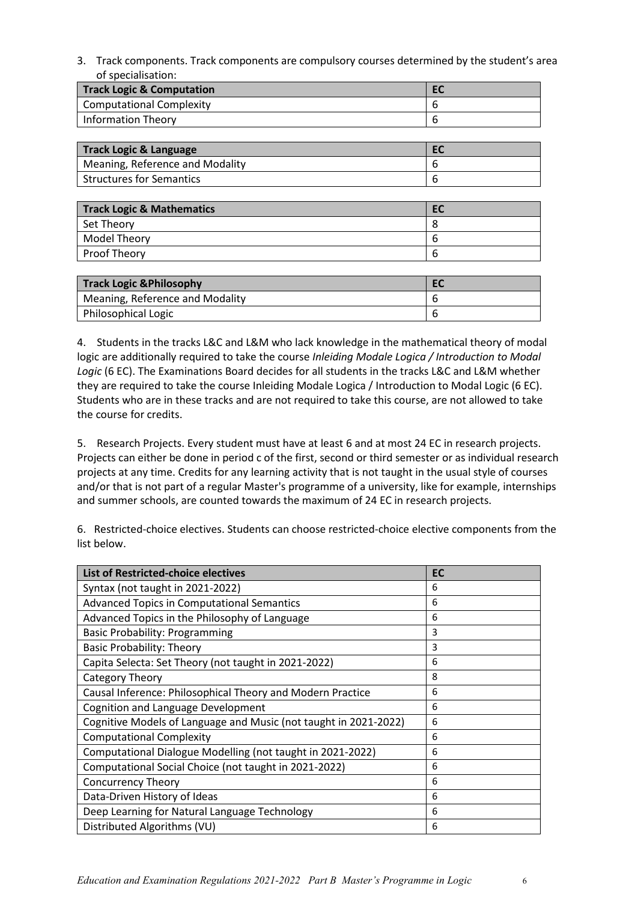3. Track components. Track components are compulsory courses determined by the student's area of specialisation:

| <b>Track Logic &amp; Computation</b> |  |
|--------------------------------------|--|
| Computational Complexity             |  |
| Information Theory                   |  |

| Track Logic & Language          | EC |
|---------------------------------|----|
| Meaning, Reference and Modality |    |
| <b>Structures for Semantics</b> |    |

| <b>Track Logic &amp; Mathematics</b> | <b>EC</b> |
|--------------------------------------|-----------|
| Set Theory                           |           |
| Model Theory                         | b         |
| Proof Theory                         | h         |

| <b>Track Logic &amp; Philosophy</b> | EC |
|-------------------------------------|----|
| Meaning, Reference and Modality     |    |
| Philosophical Logic                 |    |

4. Students in the tracks L&C and L&M who lack knowledge in the mathematical theory of modal logic are additionally required to take the course *Inleiding Modale Logica / Introduction to Modal Logic* (6 EC). The Examinations Board decides for all students in the tracks L&C and L&M whether they are required to take the course Inleiding Modale Logica / Introduction to Modal Logic (6 EC). Students who are in these tracks and are not required to take this course, are not allowed to take the course for credits.

5. Research Projects. Every student must have at least 6 and at most 24 EC in research projects. Projects can either be done in period c of the first, second or third semester or as individual research projects at any time. Credits for any learning activity that is not taught in the usual style of courses and/or that is not part of a regular Master's programme of a university, like for example, internships and summer schools, are counted towards the maximum of 24 EC in research projects.

6. Restricted-choice electives. Students can choose restricted-choice elective components from the list below.

| <b>List of Restricted-choice electives</b>                       | <b>EC</b> |
|------------------------------------------------------------------|-----------|
| Syntax (not taught in 2021-2022)                                 | 6         |
| <b>Advanced Topics in Computational Semantics</b>                | 6         |
| Advanced Topics in the Philosophy of Language                    | 6         |
| <b>Basic Probability: Programming</b>                            | 3         |
| <b>Basic Probability: Theory</b>                                 | 3         |
| Capita Selecta: Set Theory (not taught in 2021-2022)             | 6         |
| Category Theory                                                  | 8         |
| Causal Inference: Philosophical Theory and Modern Practice       | 6         |
| <b>Cognition and Language Development</b>                        | 6         |
| Cognitive Models of Language and Music (not taught in 2021-2022) | 6         |
| <b>Computational Complexity</b>                                  | 6         |
| Computational Dialogue Modelling (not taught in 2021-2022)       | 6         |
| Computational Social Choice (not taught in 2021-2022)            | 6         |
| <b>Concurrency Theory</b>                                        | 6         |
| Data-Driven History of Ideas                                     | 6         |
| Deep Learning for Natural Language Technology                    | 6         |
| Distributed Algorithms (VU)                                      | 6         |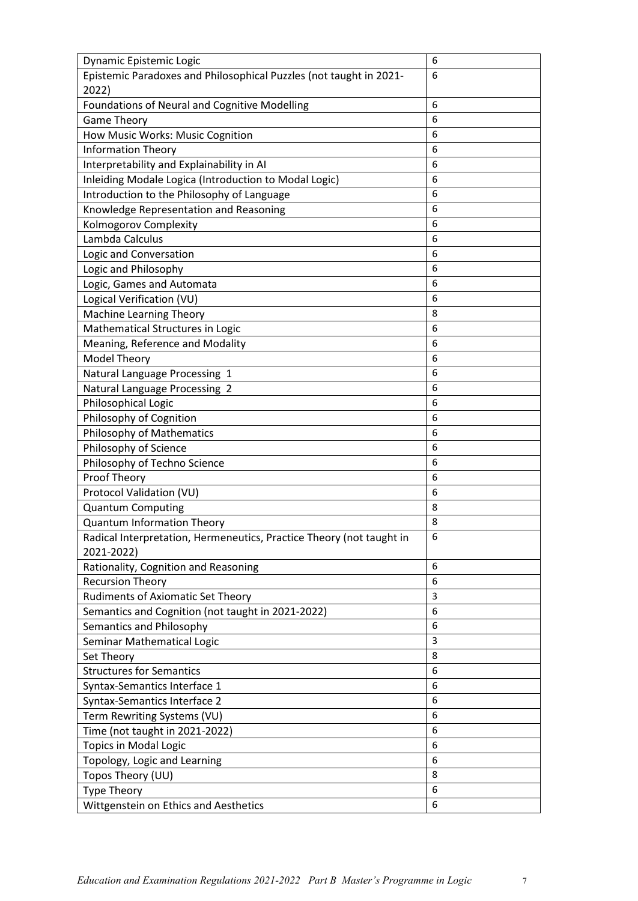| Dynamic Epistemic Logic                                              | 6 |
|----------------------------------------------------------------------|---|
| Epistemic Paradoxes and Philosophical Puzzles (not taught in 2021-   | 6 |
| 2022)                                                                |   |
| Foundations of Neural and Cognitive Modelling                        | 6 |
| <b>Game Theory</b>                                                   | 6 |
| How Music Works: Music Cognition                                     | 6 |
| <b>Information Theory</b>                                            | 6 |
| Interpretability and Explainability in AI                            | 6 |
| Inleiding Modale Logica (Introduction to Modal Logic)                | 6 |
| Introduction to the Philosophy of Language                           | 6 |
| Knowledge Representation and Reasoning                               | 6 |
| Kolmogorov Complexity                                                | 6 |
| Lambda Calculus                                                      | 6 |
| Logic and Conversation                                               | 6 |
| Logic and Philosophy                                                 | 6 |
| Logic, Games and Automata                                            | 6 |
| Logical Verification (VU)                                            | 6 |
| Machine Learning Theory                                              | 8 |
| Mathematical Structures in Logic                                     | 6 |
| Meaning, Reference and Modality                                      | 6 |
| <b>Model Theory</b>                                                  | 6 |
| Natural Language Processing 1                                        | 6 |
| Natural Language Processing 2                                        | 6 |
| Philosophical Logic                                                  | 6 |
| Philosophy of Cognition                                              | 6 |
| <b>Philosophy of Mathematics</b>                                     | 6 |
| Philosophy of Science                                                | 6 |
| Philosophy of Techno Science                                         | 6 |
| Proof Theory                                                         | 6 |
| Protocol Validation (VU)                                             | 6 |
| <b>Quantum Computing</b>                                             | 8 |
| <b>Quantum Information Theory</b>                                    | 8 |
| Radical Interpretation, Hermeneutics, Practice Theory (not taught in | 6 |
| 2021-2022)                                                           |   |
| Rationality, Cognition and Reasoning                                 | 6 |
| <b>Recursion Theory</b>                                              | 6 |
| <b>Rudiments of Axiomatic Set Theory</b>                             | 3 |
| Semantics and Cognition (not taught in 2021-2022)                    | 6 |
| Semantics and Philosophy                                             | 6 |
| Seminar Mathematical Logic                                           | 3 |
| Set Theory                                                           | 8 |
| <b>Structures for Semantics</b>                                      | 6 |
| Syntax-Semantics Interface 1                                         | 6 |
| Syntax-Semantics Interface 2                                         | 6 |
| Term Rewriting Systems (VU)                                          | 6 |
| Time (not taught in 2021-2022)                                       | 6 |
| <b>Topics in Modal Logic</b>                                         | 6 |
| Topology, Logic and Learning                                         | 6 |
| Topos Theory (UU)                                                    | 8 |
| <b>Type Theory</b>                                                   | 6 |
| Wittgenstein on Ethics and Aesthetics                                | 6 |
|                                                                      |   |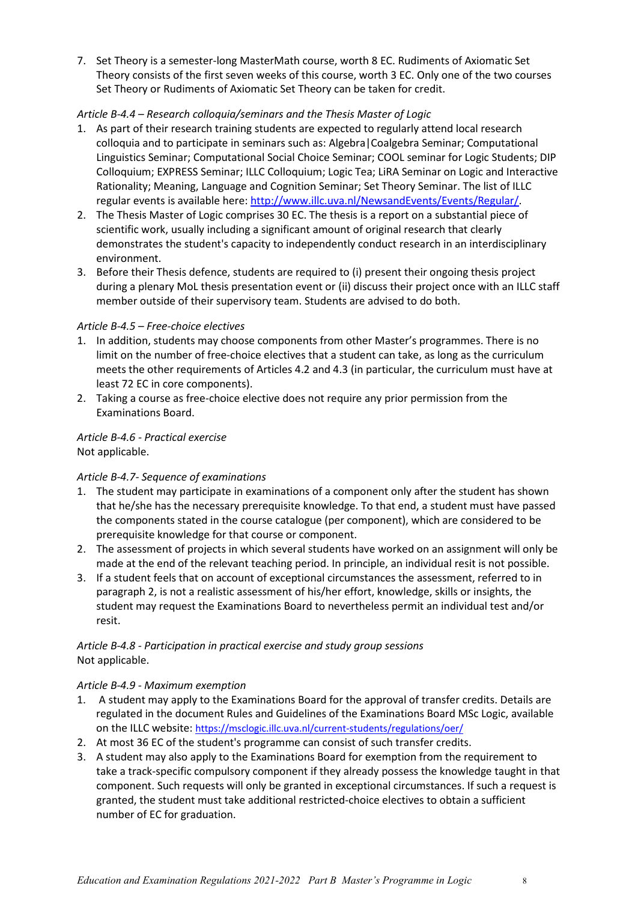7. Set Theory is a semester-long MasterMath course, worth 8 EC. Rudiments of Axiomatic Set Theory consists of the first seven weeks of this course, worth 3 EC. Only one of the two courses Set Theory or Rudiments of Axiomatic Set Theory can be taken for credit.

## <span id="page-7-0"></span>*Article B-4.4 – Research colloquia/seminars and the Thesis Master of Logic*

- 1. As part of their research training students are expected to regularly attend local research colloquia and to participate in seminars such as: Algebra|Coalgebra Seminar; Computational Linguistics Seminar; Computational Social Choice Seminar; COOL seminar for Logic Students; DIP Colloquium; EXPRESS Seminar; ILLC Colloquium; Logic Tea; LiRA Seminar on Logic and Interactive Rationality; Meaning, Language and Cognition Seminar; Set Theory Seminar. The list of ILLC regular events is available here: [http://www.illc.uva.nl/NewsandEvents/Events/Regular/.](http://www.illc.uva.nl/NewsandEvents/Events/Regular/)
- 2. The Thesis Master of Logic comprises 30 EC. The thesis is a report on a substantial piece of scientific work, usually including a significant amount of original research that clearly demonstrates the student's capacity to independently conduct research in an interdisciplinary environment.
- 3. Before their Thesis defence, students are required to (i) present their ongoing thesis project during a plenary MoL thesis presentation event or (ii) discuss their project once with an ILLC staff member outside of their supervisory team. Students are advised to do both.

#### <span id="page-7-1"></span>*Article B-4.5 – Free-choice electives*

- 1. In addition, students may choose components from other Master's programmes. There is no limit on the number of free-choice electives that a student can take, as long as the curriculum meets the other requirements of Articles 4.2 and 4.3 (in particular, the curriculum must have at least 72 EC in core components).
- 2. Taking a course as free-choice elective does not require any prior permission from the Examinations Board.

# <span id="page-7-2"></span>*Article B-4.6 - Practical exercise*

Not applicable.

# <span id="page-7-3"></span>*Article B-4.7- Sequence of examinations*

- 1. The student may participate in examinations of a component only after the student has shown that he/she has the necessary prerequisite knowledge. To that end, a student must have passed the components stated in the course catalogue (per component), which are considered to be prerequisite knowledge for that course or component.
- 2. The assessment of projects in which several students have worked on an assignment will only be made at the end of the relevant teaching period. In principle, an individual resit is not possible.
- 3. If a student feels that on account of exceptional circumstances the assessment, referred to in paragraph 2, is not a realistic assessment of his/her effort, knowledge, skills or insights, the student may request the Examinations Board to nevertheless permit an individual test and/or resit.

#### <span id="page-7-4"></span>*Article B-4.8 - Participation in practical exercise and study group sessions* Not applicable.

#### <span id="page-7-5"></span>*Article B-4.9 - Maximum exemption*

- 1. A student may apply to the Examinations Board for the approval of transfer credits. Details are regulated in the document Rules and Guidelines of the Examinations Board MSc Logic, available on the ILLC website:<https://msclogic.illc.uva.nl/current-students/regulations/oer/>
- 2. At most 36 EC of the student's programme can consist of such transfer credits.
- 3. A student may also apply to the Examinations Board for exemption from the requirement to take a track-specific compulsory component if they already possess the knowledge taught in that component. Such requests will only be granted in exceptional circumstances. If such a request is granted, the student must take additional restricted-choice electives to obtain a sufficient number of EC for graduation.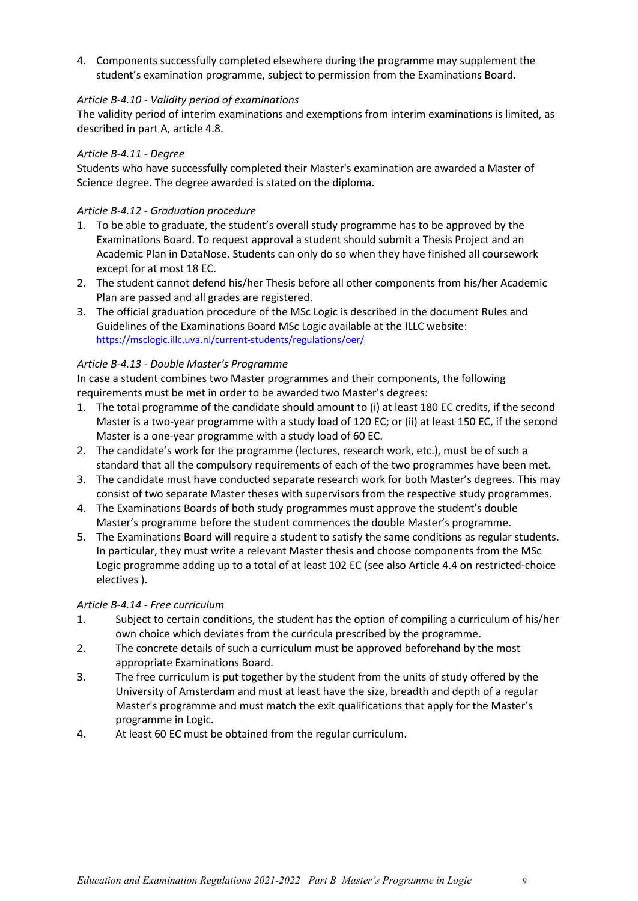4. Components successfully completed elsewhere during the programme may supplement the student's examination programme, subject to permission from the Examinations Board.

### <span id="page-8-0"></span>*Article B-4.10 - Validity period of examinations*

The validity period of interim examinations and exemptions from interim examinations is limited, as described in part A, article 4.8.

#### <span id="page-8-1"></span>*Article B-4.11 - Degree*

Students who have successfully completed their Master's examination are awarded a Master of Science degree. The degree awarded is stated on the diploma.

## *Article B-4.12 - Graduation procedure*

- 1. To be able to graduate, the student's overall study programme has to be approved by the Examinations Board. To request approval a student should submit a Thesis Project and an Academic Plan in DataNose. Students can only do so when they have finished all coursework except for at most 18 EC.
- 2. The student cannot defend his/her Thesis before all other components from his/her Academic Plan are passed and all grades are registered.
- 3. The official graduation procedure of the MSc Logic is described in the document Rules and Guidelines of the Examinations Board MSc Logic available at the ILLC website: <https://msclogic.illc.uva.nl/current-students/regulations/oer/>

#### <span id="page-8-2"></span>*Article B-4.13 - Double Master's Programme*

In case a student combines two Master programmes and their components, the following requirements must be met in order to be awarded two Master's degrees:

- 1. The total programme of the candidate should amount to (i) at least 180 EC credits, if the second Master is a two-year programme with a study load of 120 EC; or (ii) at least 150 EC, if the second Master is a one-year programme with a study load of 60 EC.
- 2. The candidate's work for the programme (lectures, research work, etc.), must be of such a standard that all the compulsory requirements of each of the two programmes have been met.
- 3. The candidate must have conducted separate research work for both Master's degrees. This may consist of two separate Master theses with supervisors from the respective study programmes.
- 4. The Examinations Boards of both study programmes must approve the student's double Master's programme before the student commences the double Master's programme.
- 5. The Examinations Board will require a student to satisfy the same conditions as regular students. In particular, they must write a relevant Master thesis and choose components from the MSc Logic programme adding up to a total of at least 102 EC (see also Article 4.4 on restricted-choice electives ).

#### <span id="page-8-3"></span>*Article B-4.14 - Free curriculum*

- 1. Subject to certain conditions, the student has the option of compiling a curriculum of his/her own choice which deviates from the curricula prescribed by the programme.
- 2. The concrete details of such a curriculum must be approved beforehand by the most appropriate Examinations Board.
- 3. The free curriculum is put together by the student from the units of study offered by the University of Amsterdam and must at least have the size, breadth and depth of a regular Master's programme and must match the exit qualifications that apply for the Master's programme in Logic.
- 4. At least 60 EC must be obtained from the regular curriculum.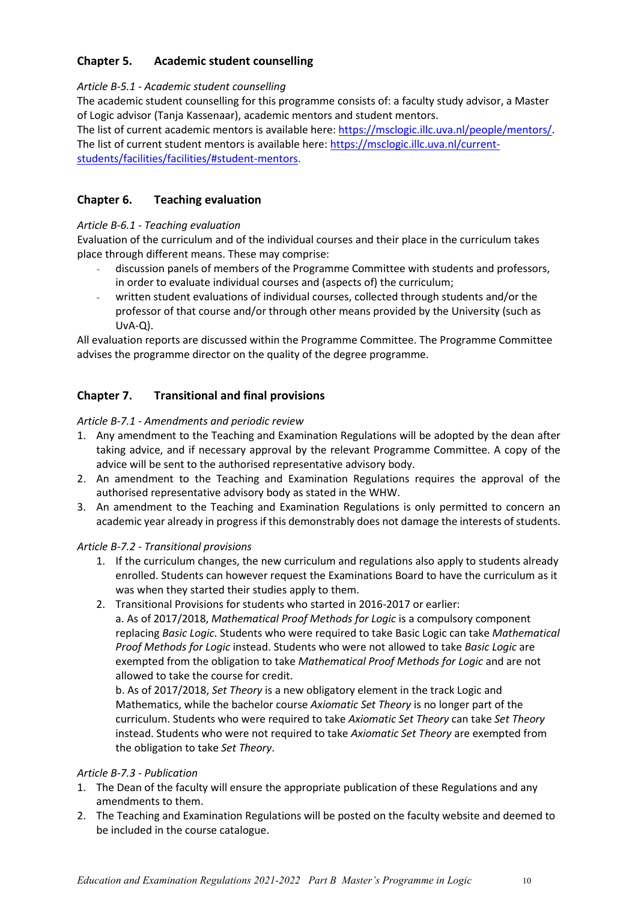# <span id="page-9-0"></span>**Chapter 5. Academic student counselling**

# <span id="page-9-1"></span>*Article B-5.1 - Academic student counselling*

The academic student counselling for this programme consists of: a faculty study advisor, a Master of Logic advisor (Tanja Kassenaar), academic mentors and student mentors.

The list of current academic mentors is available here: [https://msclogic.illc.uva.nl/people/mentors/.](https://msclogic.illc.uva.nl/people/mentors/) The list of current student mentors is available here: [https://msclogic.illc.uva.nl/current](https://msclogic.illc.uva.nl/current-students/facilities/facilities/#student-mentors)[students/facilities/facilities/#student-mentors.](https://msclogic.illc.uva.nl/current-students/facilities/facilities/#student-mentors)

# <span id="page-9-2"></span>**Chapter 6. Teaching evaluation**

# <span id="page-9-3"></span>*Article B-6.1 - Teaching evaluation*

Evaluation of the curriculum and of the individual courses and their place in the curriculum takes place through different means. These may comprise:

- discussion panels of members of the Programme Committee with students and professors, in order to evaluate individual courses and (aspects of) the curriculum;
- written student evaluations of individual courses, collected through students and/or the professor of that course and/or through other means provided by the University (such as UvA-Q).

All evaluation reports are discussed within the Programme Committee. The Programme Committee advises the programme director on the quality of the degree programme.

# <span id="page-9-4"></span>**Chapter 7. Transitional and final provisions**

# <span id="page-9-5"></span>*Article B-7.1 - Amendments and periodic review*

- 1. Any amendment to the Teaching and Examination Regulations will be adopted by the dean after taking advice, and if necessary approval by the relevant Programme Committee. A copy of the advice will be sent to the authorised representative advisory body.
- 2. An amendment to the Teaching and Examination Regulations requires the approval of the authorised representative advisory body as stated in the WHW.
- 3. An amendment to the Teaching and Examination Regulations is only permitted to concern an academic year already in progress if this demonstrably does not damage the interests of students.

# <span id="page-9-6"></span>*Article B-7.2 - Transitional provisions*

- 1. If the curriculum changes, the new curriculum and regulations also apply to students already enrolled. Students can however request the Examinations Board to have the curriculum as it was when they started their studies apply to them.
- 2. Transitional Provisions for students who started in 2016-2017 or earlier:

a. As of 2017/2018, *Mathematical Proof Methods for Logic* is a compulsory component replacing *Basic Logic*. Students who were required to take Basic Logic can take *Mathematical Proof Methods for Logic* instead. Students who were not allowed to take *Basic Logic* are exempted from the obligation to take *Mathematical Proof Methods for Logic* and are not allowed to take the course for credit.

b. As of 2017/2018, *Set Theory* is a new obligatory element in the track Logic and Mathematics, while the bachelor course *Axiomatic Set Theory* is no longer part of the curriculum. Students who were required to take *Axiomatic Set Theory* can take *Set Theory* instead. Students who were not required to take *Axiomatic Set Theory* are exempted from the obligation to take *Set Theory*.

# <span id="page-9-7"></span>*Article B-7.3 - Publication*

- 1. The Dean of the faculty will ensure the appropriate publication of these Regulations and any amendments to them.
- 2. The Teaching and Examination Regulations will be posted on the faculty website and deemed to be included in the course catalogue.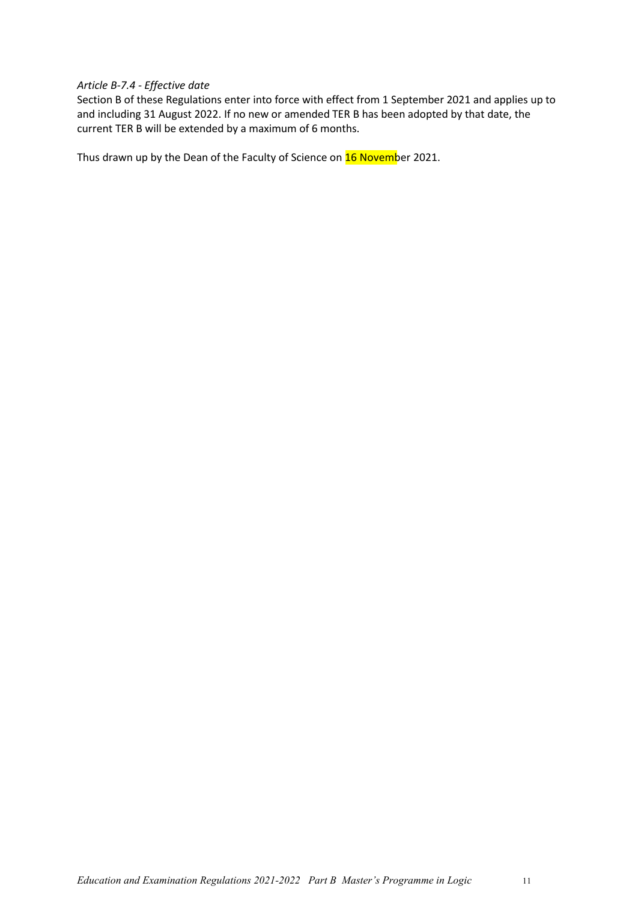#### <span id="page-10-0"></span>*Article B-7.4 - Effective date*

Section B of these Regulations enter into force with effect from 1 September 2021 and applies up to and including 31 August 2022. If no new or amended TER B has been adopted by that date, the current TER B will be extended by a maximum of 6 months.

Thus drawn up by the Dean of the Faculty of Science on **16 Novemb**er 2021.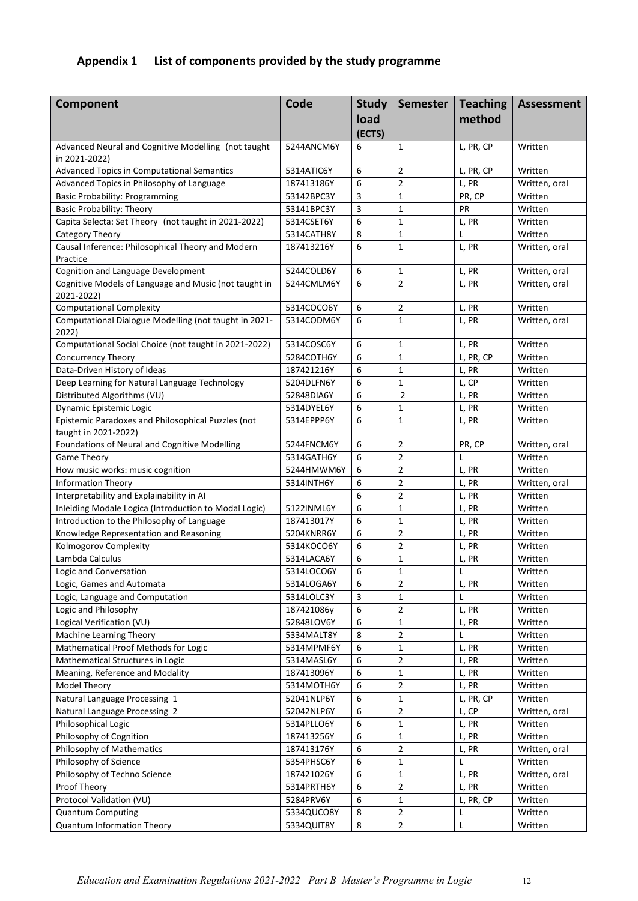# <span id="page-11-0"></span>**Appendix 1 List of components provided by the study programme**

| Component                                                           | Code                     | <b>Study</b> | <b>Semester</b>               | <b>Teaching</b> | Assessment         |
|---------------------------------------------------------------------|--------------------------|--------------|-------------------------------|-----------------|--------------------|
|                                                                     |                          | load         |                               | method          |                    |
|                                                                     |                          | (ECTS)       |                               |                 |                    |
| Advanced Neural and Cognitive Modelling (not taught                 | 5244ANCM6Y               | 6            | $\mathbf{1}$                  | L, PR, CP       | Written            |
| in 2021-2022)                                                       |                          |              |                               |                 |                    |
| <b>Advanced Topics in Computational Semantics</b>                   | 5314ATIC6Y               | 6            | $\overline{2}$                | L, PR, CP       | Written            |
| Advanced Topics in Philosophy of Language                           | 187413186Y               | 6            | $\overline{2}$                | L, PR           | Written, oral      |
| <b>Basic Probability: Programming</b>                               | 53142BPC3Y               | 3            | $\mathbf{1}$                  | PR, CP          | Written            |
| <b>Basic Probability: Theory</b>                                    | 53141BPC3Y               | 3            | $\mathbf{1}$                  | PR              | Written            |
| Capita Selecta: Set Theory (not taught in 2021-2022)                | 5314CSET6Y               | 6            | $\mathbf{1}$                  | L, PR           | Written            |
| Category Theory                                                     | 5314CATH8Y               | 8            | $\mathbf{1}$                  | L               | Written            |
| Causal Inference: Philosophical Theory and Modern                   | 187413216Y               | 6            | $\mathbf{1}$                  | L, PR           | Written, oral      |
| Practice                                                            |                          |              |                               |                 |                    |
| Cognition and Language Development                                  | 5244COLD6Y               | 6            | 1                             | L, PR           | Written, oral      |
| Cognitive Models of Language and Music (not taught in<br>2021-2022) | 5244CMLM6Y               | 6            | $\overline{2}$                | L, PR           | Written, oral      |
| <b>Computational Complexity</b>                                     | 5314COCO6Y               | 6            | $\overline{2}$                | L, PR           | Written            |
| Computational Dialogue Modelling (not taught in 2021-<br>2022)      | 5314CODM6Y               | 6            | $\mathbf{1}$                  | L, PR           | Written, oral      |
| Computational Social Choice (not taught in 2021-2022)               | 5314COSC6Y               | 6            | $\mathbf{1}$                  | L, PR           | Written            |
| <b>Concurrency Theory</b>                                           | 5284COTH6Y               | 6            | $\mathbf{1}$                  | L, PR, CP       | Written            |
| Data-Driven History of Ideas                                        | 187421216Y               | 6            | $\mathbf{1}$                  | L, PR           | Written            |
| Deep Learning for Natural Language Technology                       | 5204DLFN6Y               | 6            | $\mathbf{1}$                  | L, CP           | Written            |
| Distributed Algorithms (VU)                                         | 52848DIA6Y               | 6            | $\overline{2}$                | L, PR           | Written            |
| Dynamic Epistemic Logic                                             | 5314DYEL6Y               | 6            | $\mathbf{1}$                  | L, PR           | Written            |
| Epistemic Paradoxes and Philosophical Puzzles (not                  | 5314EPPP6Y               | 6            | $\mathbf{1}$                  | L, PR           | Written            |
| taught in 2021-2022)                                                |                          |              |                               |                 |                    |
| Foundations of Neural and Cognitive Modelling                       | 5244FNCM6Y               | 6            | $\overline{2}$                | PR, CP          | Written, oral      |
| <b>Game Theory</b>                                                  | 5314GATH6Y               | 6            | $\overline{2}$                |                 | Written            |
| How music works: music cognition                                    | 5244HMWM6Y               | 6            | $\overline{2}$                | L, PR           | Written            |
| <b>Information Theory</b>                                           | 5314INTH6Y               | 6            | $\overline{2}$                | L, PR           | Written, oral      |
| Interpretability and Explainability in AI                           |                          | 6            | $\overline{2}$                | L, PR           | Written            |
| Inleiding Modale Logica (Introduction to Modal Logic)               | 5122INML6Y               | 6            | $\mathbf{1}$                  | L, PR           | Written            |
| Introduction to the Philosophy of Language                          | 187413017Y               | 6            | $\mathbf{1}$                  | L, PR           | Written            |
| Knowledge Representation and Reasoning                              | 5204KNRR6Y               | 6            | $\overline{2}$                | L, PR           | Written            |
| Kolmogorov Complexity                                               | 5314KOCO6Y               | 6            | $\overline{2}$                | L, PR           | Written            |
| Lambda Calculus                                                     | 5314LACA6Y               | 6            | $\mathbf{1}$                  | L, PR           | Written            |
| Logic and Conversation                                              | 5314LOCO6Y               | 6            | $\mathbf{1}$                  | L               | Written            |
| Logic, Games and Automata                                           | 5314LOGA6Y               | 6            | $\overline{2}$                | L, PR           | Written            |
| Logic, Language and Computation                                     | 5314LOLC3Y               | 3            | $\mathbf{1}$                  | L               | Written            |
| Logic and Philosophy                                                | 187421086y               | 6            | $\overline{2}$<br>$\mathbf 1$ | L, PR           | Written            |
| Logical Verification (VU)                                           | 52848LOV6Y               | 6<br>8       | $\mathbf 2$                   | L, PR<br>L      | Written            |
| Machine Learning Theory<br>Mathematical Proof Methods for Logic     | 5334MALT8Y<br>5314MPMF6Y | 6            | $\mathbf 1$                   | L, PR           | Written<br>Written |
| Mathematical Structures in Logic                                    | 5314MASL6Y               | 6            | $\overline{2}$                | L, PR           | Written            |
| Meaning, Reference and Modality                                     | 187413096Y               | 6            | $\mathbf 1$                   | L, PR           | Written            |
| Model Theory                                                        | 5314MOTH6Y               | 6            | $\overline{2}$                | L, PR           | Written            |
| Natural Language Processing 1                                       | 52041NLP6Y               | 6            | $\mathbf 1$                   | L, PR, CP       | Written            |
| Natural Language Processing 2                                       | 52042NLP6Y               | 6            | $\mathbf 2$                   | L, CP           | Written, oral      |
| Philosophical Logic                                                 | 5314PLLO6Y               | 6            | $\mathbf 1$                   | L, PR           | Written            |
| Philosophy of Cognition                                             | 187413256Y               | 6            | $\mathbf 1$                   | L, PR           | Written            |
| Philosophy of Mathematics                                           | 187413176Y               | 6            | $\mathbf 2$                   | L, PR           | Written, oral      |
| Philosophy of Science                                               | 5354PHSC6Y               | 6            | $\mathbf 1$                   | L               | Written            |
| Philosophy of Techno Science                                        | 187421026Y               | 6            | $\mathbf 1$                   | L, PR           | Written, oral      |
| Proof Theory                                                        | 5314PRTH6Y               | 6            | $\overline{2}$                | L, PR           | Written            |
| Protocol Validation (VU)                                            | 5284PRV6Y                | 6            | $\mathbf 1$                   | L, PR, CP       | Written            |
| <b>Quantum Computing</b>                                            | 5334QUCO8Y               | 8            | $\overline{2}$                | L               | Written            |
| Quantum Information Theory                                          | 5334QUIT8Y               | 8            | $\overline{2}$                | L               | Written            |